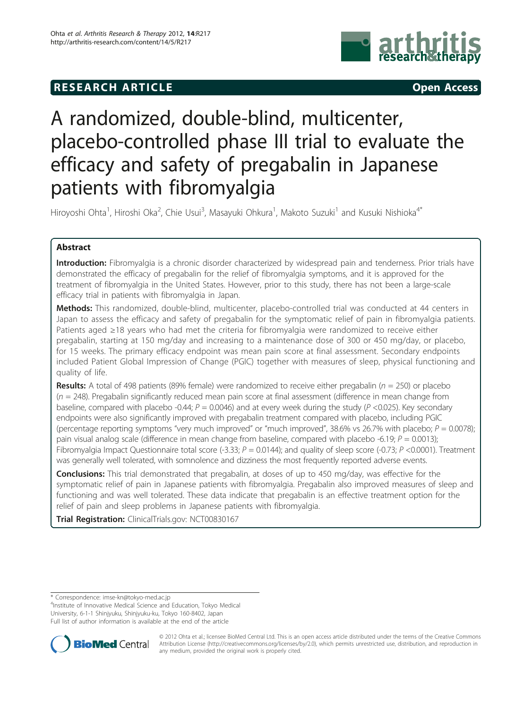# **RESEARCH ARTICLE CONSUMING ACCESS**



# A randomized, double-blind, multicenter, placebo-controlled phase III trial to evaluate the efficacy and safety of pregabalin in Japanese patients with fibromyalgia

Hiroyoshi Ohta<sup>1</sup>, Hiroshi Oka<sup>2</sup>, Chie Usui<sup>3</sup>, Masayuki Ohkura<sup>1</sup>, Makoto Suzuki<sup>1</sup> and Kusuki Nishioka<sup>4\*</sup>

# Abstract

Introduction: Fibromyalgia is a chronic disorder characterized by widespread pain and tenderness. Prior trials have demonstrated the efficacy of pregabalin for the relief of fibromyalgia symptoms, and it is approved for the treatment of fibromyalgia in the United States. However, prior to this study, there has not been a large-scale efficacy trial in patients with fibromyalgia in Japan.

Methods: This randomized, double-blind, multicenter, placebo-controlled trial was conducted at 44 centers in Japan to assess the efficacy and safety of pregabalin for the symptomatic relief of pain in fibromyalgia patients. Patients aged ≥18 years who had met the criteria for fibromyalgia were randomized to receive either pregabalin, starting at 150 mg/day and increasing to a maintenance dose of 300 or 450 mg/day, or placebo, for 15 weeks. The primary efficacy endpoint was mean pain score at final assessment. Secondary endpoints included Patient Global Impression of Change (PGIC) together with measures of sleep, physical functioning and quality of life.

**Results:** A total of 498 patients (89% female) were randomized to receive either pregabalin ( $n = 250$ ) or placebo  $(n = 248)$ . Pregabalin significantly reduced mean pain score at final assessment (difference in mean change from baseline, compared with placebo -0.44;  $P = 0.0046$ ) and at every week during the study (P <0.025). Key secondary endpoints were also significantly improved with pregabalin treatment compared with placebo, including PGIC (percentage reporting symptoms "very much improved" or "much improved", 38.6% vs 26.7% with placebo;  $P = 0.0078$ ); pain visual analog scale (difference in mean change from baseline, compared with placebo -6.19;  $P = 0.0013$ ); Fibromyalgia Impact Questionnaire total score (-3.33;  $P = 0.0144$ ); and quality of sleep score (-0.73;  $P < 0.0001$ ). Treatment was generally well tolerated, with somnolence and dizziness the most frequently reported adverse events.

**Conclusions:** This trial demonstrated that pregabalin, at doses of up to 450 mg/day, was effective for the symptomatic relief of pain in Japanese patients with fibromyalgia. Pregabalin also improved measures of sleep and functioning and was well tolerated. These data indicate that pregabalin is an effective treatment option for the relief of pain and sleep problems in Japanese patients with fibromyalgia.

Trial Registration: ClinicalTrials.gov: [NCT00830167](http://www.clinicaltrials.gov/ct2/show/NCT00830167)

<sup>4</sup> Institute of Innovative Medical Science and Education, Tokyo Medical University, 6-1-1 Shinjyuku, Shinjyuku-ku, Tokyo 160-8402, Japan Full list of author information is available at the end of the article



© 2012 Ohta et al.; licensee BioMed Central Ltd. This is an open access article distributed under the terms of the Creative Commons Attribution License [\(http://creativecommons.org/licenses/by/2.0](http://creativecommons.org/licenses/by/2.0)), which permits unrestricted use, distribution, and reproduction in any medium, provided the original work is properly cited.

<sup>\*</sup> Correspondence: [imse-kn@tokyo-med.ac.jp](mailto:imse-kn@tokyo-med.ac.jp)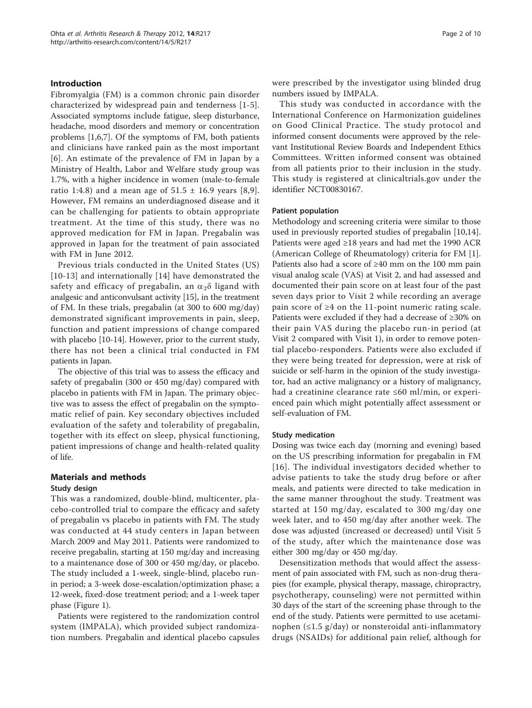# Introduction

Fibromyalgia (FM) is a common chronic pain disorder characterized by widespread pain and tenderness [\[1](#page-9-0)-[5](#page-9-0)]. Associated symptoms include fatigue, sleep disturbance, headache, mood disorders and memory or concentration problems [\[1](#page-9-0),[6,7\]](#page-9-0). Of the symptoms of FM, both patients and clinicians have ranked pain as the most important [[6](#page-9-0)]. An estimate of the prevalence of FM in Japan by a Ministry of Health, Labor and Welfare study group was 1.7%, with a higher incidence in women (male-to-female ratio 1:4.8) and a mean age of  $51.5 \pm 16.9$  $51.5 \pm 16.9$  years [\[8](#page-9-0),9]. However, FM remains an underdiagnosed disease and it can be challenging for patients to obtain appropriate treatment. At the time of this study, there was no approved medication for FM in Japan. Pregabalin was approved in Japan for the treatment of pain associated with FM in June 2012.

Previous trials conducted in the United States (US) [[10](#page-9-0)-[13](#page-9-0)] and internationally [\[14](#page-9-0)] have demonstrated the safety and efficacy of pregabalin, an  $\alpha_2\delta$  ligand with analgesic and anticonvulsant activity [[15\]](#page-9-0), in the treatment of FM. In these trials, pregabalin (at 300 to 600 mg/day) demonstrated significant improvements in pain, sleep, function and patient impressions of change compared with placebo [[10](#page-9-0)-[14\]](#page-9-0). However, prior to the current study, there has not been a clinical trial conducted in FM patients in Japan.

The objective of this trial was to assess the efficacy and safety of pregabalin (300 or 450 mg/day) compared with placebo in patients with FM in Japan. The primary objective was to assess the effect of pregabalin on the symptomatic relief of pain. Key secondary objectives included evaluation of the safety and tolerability of pregabalin, together with its effect on sleep, physical functioning, patient impressions of change and health-related quality of life.

# Materials and methods

### Study design

This was a randomized, double-blind, multicenter, placebo-controlled trial to compare the efficacy and safety of pregabalin vs placebo in patients with FM. The study was conducted at 44 study centers in Japan between March 2009 and May 2011. Patients were randomized to receive pregabalin, starting at 150 mg/day and increasing to a maintenance dose of 300 or 450 mg/day, or placebo. The study included a 1-week, single-blind, placebo runin period; a 3-week dose-escalation/optimization phase; a 12-week, fixed-dose treatment period; and a 1-week taper phase (Figure [1\)](#page-2-0).

Patients were registered to the randomization control system (IMPALA), which provided subject randomization numbers. Pregabalin and identical placebo capsules were prescribed by the investigator using blinded drug numbers issued by IMPALA.

This study was conducted in accordance with the International Conference on Harmonization guidelines on Good Clinical Practice. The study protocol and informed consent documents were approved by the relevant Institutional Review Boards and Independent Ethics Committees. Written informed consent was obtained from all patients prior to their inclusion in the study. This study is registered at clinicaltrials.gov under the identifier NCT00830167.

#### Patient population

Methodology and screening criteria were similar to those used in previously reported studies of pregabalin [\[10,14](#page-9-0)]. Patients were aged ≥18 years and had met the 1990 ACR (American College of Rheumatology) criteria for FM [\[1](#page-9-0)]. Patients also had a score of ≥40 mm on the 100 mm pain visual analog scale (VAS) at Visit 2, and had assessed and documented their pain score on at least four of the past seven days prior to Visit 2 while recording an average pain score of ≥4 on the 11-point numeric rating scale. Patients were excluded if they had a decrease of ≥30% on their pain VAS during the placebo run-in period (at Visit 2 compared with Visit 1), in order to remove potential placebo-responders. Patients were also excluded if they were being treated for depression, were at risk of suicide or self-harm in the opinion of the study investigator, had an active malignancy or a history of malignancy, had a creatinine clearance rate ≤60 ml/min, or experienced pain which might potentially affect assessment or self-evaluation of FM.

#### Study medication

Dosing was twice each day (morning and evening) based on the US prescribing information for pregabalin in FM [[16\]](#page-9-0). The individual investigators decided whether to advise patients to take the study drug before or after meals, and patients were directed to take medication in the same manner throughout the study. Treatment was started at 150 mg/day, escalated to 300 mg/day one week later, and to 450 mg/day after another week. The dose was adjusted (increased or decreased) until Visit 5 of the study, after which the maintenance dose was either 300 mg/day or 450 mg/day.

Desensitization methods that would affect the assessment of pain associated with FM, such as non-drug therapies (for example, physical therapy, massage, chiropractry, psychotherapy, counseling) were not permitted within 30 days of the start of the screening phase through to the end of the study. Patients were permitted to use acetaminophen (≤1.5 g/day) or nonsteroidal anti-inflammatory drugs (NSAIDs) for additional pain relief, although for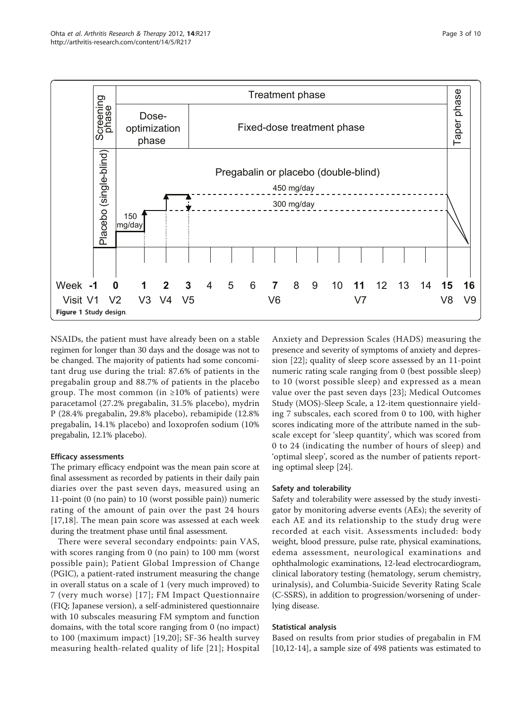<span id="page-2-0"></span>

NSAIDs, the patient must have already been on a stable regimen for longer than 30 days and the dosage was not to be changed. The majority of patients had some concomitant drug use during the trial: 87.6% of patients in the pregabalin group and 88.7% of patients in the placebo group. The most common (in  $\geq 10\%$  of patients) were paracetamol (27.2% pregabalin, 31.5% placebo), mydrin P (28.4% pregabalin, 29.8% placebo), rebamipide (12.8% pregabalin, 14.1% placebo) and loxoprofen sodium (10% pregabalin, 12.1% placebo).

### Efficacy assessments

The primary efficacy endpoint was the mean pain score at final assessment as recorded by patients in their daily pain diaries over the past seven days, measured using an 11-point (0 (no pain) to 10 (worst possible pain)) numeric rating of the amount of pain over the past 24 hours [[17,18](#page-9-0)]. The mean pain score was assessed at each week during the treatment phase until final assessment.

There were several secondary endpoints: pain VAS, with scores ranging from 0 (no pain) to 100 mm (worst possible pain); Patient Global Impression of Change (PGIC), a patient-rated instrument measuring the change in overall status on a scale of 1 (very much improved) to 7 (very much worse) [[17\]](#page-9-0); FM Impact Questionnaire (FIQ; Japanese version), a self-administered questionnaire with 10 subscales measuring FM symptom and function domains, with the total score ranging from 0 (no impact) to 100 (maximum impact) [[19](#page-9-0),[20\]](#page-9-0); SF-36 health survey measuring health-related quality of life [\[21\]](#page-9-0); Hospital

Anxiety and Depression Scales (HADS) measuring the presence and severity of symptoms of anxiety and depression [\[22\]](#page-9-0); quality of sleep score assessed by an 11-point numeric rating scale ranging from 0 (best possible sleep) to 10 (worst possible sleep) and expressed as a mean value over the past seven days [\[23\]](#page-9-0); Medical Outcomes Study (MOS)-Sleep Scale, a 12-item questionnaire yielding 7 subscales, each scored from 0 to 100, with higher scores indicating more of the attribute named in the subscale except for 'sleep quantity', which was scored from 0 to 24 (indicating the number of hours of sleep) and 'optimal sleep', scored as the number of patients reporting optimal sleep [[24\]](#page-9-0).

# Safety and tolerability

Safety and tolerability were assessed by the study investigator by monitoring adverse events (AEs); the severity of each AE and its relationship to the study drug were recorded at each visit. Assessments included: body weight, blood pressure, pulse rate, physical examinations, edema assessment, neurological examinations and ophthalmologic examinations, 12-lead electrocardiogram, clinical laboratory testing (hematology, serum chemistry, urinalysis), and Columbia-Suicide Severity Rating Scale (C-SSRS), in addition to progression/worsening of underlying disease.

# Statistical analysis

Based on results from prior studies of pregabalin in FM [[10,12-14\]](#page-9-0), a sample size of 498 patients was estimated to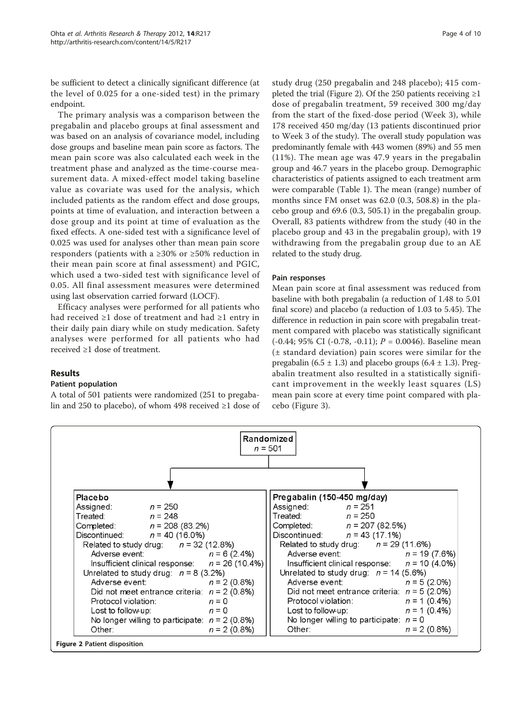be sufficient to detect a clinically significant difference (at the level of 0.025 for a one-sided test) in the primary endpoint.

The primary analysis was a comparison between the pregabalin and placebo groups at final assessment and was based on an analysis of covariance model, including dose groups and baseline mean pain score as factors. The mean pain score was also calculated each week in the treatment phase and analyzed as the time-course measurement data. A mixed-effect model taking baseline value as covariate was used for the analysis, which included patients as the random effect and dose groups, points at time of evaluation, and interaction between a dose group and its point at time of evaluation as the fixed effects. A one-sided test with a significance level of 0.025 was used for analyses other than mean pain score responders (patients with a ≥30% or ≥50% reduction in their mean pain score at final assessment) and PGIC, which used a two-sided test with significance level of 0.05. All final assessment measures were determined using last observation carried forward (LOCF).

Efficacy analyses were performed for all patients who had received ≥1 dose of treatment and had ≥1 entry in their daily pain diary while on study medication. Safety analyses were performed for all patients who had received ≥1 dose of treatment.

# Results

### Patient population

A total of 501 patients were randomized (251 to pregabalin and 250 to placebo), of whom 498 received ≥1 dose of study drug (250 pregabalin and 248 placebo); 415 completed the trial (Figure 2). Of the 250 patients receiving  $\geq 1$ dose of pregabalin treatment, 59 received 300 mg/day from the start of the fixed-dose period (Week 3), while 178 received 450 mg/day (13 patients discontinued prior to Week 3 of the study). The overall study population was predominantly female with 443 women (89%) and 55 men (11%). The mean age was 47.9 years in the pregabalin group and 46.7 years in the placebo group. Demographic characteristics of patients assigned to each treatment arm were comparable (Table [1](#page-4-0)). The mean (range) number of months since FM onset was 62.0 (0.3, 508.8) in the placebo group and 69.6 (0.3, 505.1) in the pregabalin group. Overall, 83 patients withdrew from the study (40 in the placebo group and 43 in the pregabalin group), with 19 withdrawing from the pregabalin group due to an AE related to the study drug.

### Pain responses

Mean pain score at final assessment was reduced from baseline with both pregabalin (a reduction of 1.48 to 5.01 final score) and placebo (a reduction of 1.03 to 5.45). The difference in reduction in pain score with pregabalin treatment compared with placebo was statistically significant  $(-0.44; 95\% \text{ CI } (-0.78, -0.11); P = 0.0046)$ . Baseline mean (± standard deviation) pain scores were similar for the pregabalin (6.5  $\pm$  1.3) and placebo groups (6.4  $\pm$  1.3). Pregabalin treatment also resulted in a statistically significant improvement in the weekly least squares (LS) mean pain score at every time point compared with placebo (Figure [3](#page-4-0)).

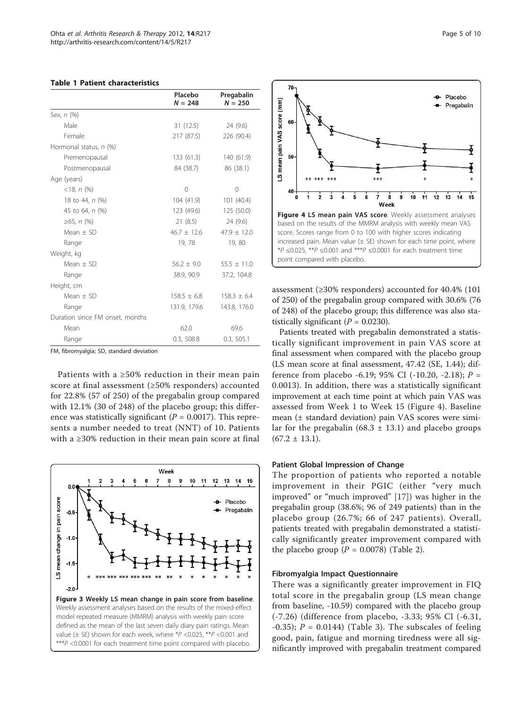<span id="page-4-0"></span>

| <b>Table 1 Patient characteristics</b> |
|----------------------------------------|
|                                        |

|                                 | Placebo<br>$N = 248$ | Pregabalin<br>$N = 250$ |
|---------------------------------|----------------------|-------------------------|
| Sex, n (%)                      |                      |                         |
| Male                            | 31 (12.5)            | 24 (9.6)                |
| Female                          | 217 (87.5)           | 226 (90.4)              |
| Hormonal status, n (%)          |                      |                         |
| Premenopausal                   | 133(61.3)            | 140 (61.9)              |
| Postmenopausal                  | 84 (38.7)            | 86 (38.1)               |
| Age (years)                     |                      |                         |
| $<$ 18, n $(\%)$                | $\Omega$             | 0                       |
| 18 to 44, n (%)                 | 104 (41.9)           | 101(40.4)               |
| 45 to 64, n (%)                 | 123 (49.6)           | 125 (50.0)              |
| ≥65, <i>n</i> $(\%)$            | 21(8.5)              | 24 (9.6)                |
| $Mean + SD$                     | $46.7 + 12.6$        | $47.9 \pm 12.0$         |
| Range                           | 19,78                | 19,80                   |
| Weight, kg                      |                      |                         |
| $Mean + SD$                     | $56.2 + 9.0$         | $55.5 + 11.0$           |
| Range                           | 38.9, 90.9           | 37.2, 104.8             |
| Height, cm                      |                      |                         |
| $Mean + SD$                     | $158.5 \pm 6.8$      | $158.3 \pm 6.4$         |
| Range                           | 131.9, 179.6         | 143.8, 176.0            |
| Duration since FM onset, months |                      |                         |
| Mean                            | 62.0                 | 69.6                    |
| Range                           | 0.3, 508.8           | 0.3, 505.1              |

FM, fibromyalgia; SD, standard deviation

Patients with a ≥50% reduction in their mean pain score at final assessment (≥50% responders) accounted for 22.8% (57 of 250) of the pregabalin group compared with 12.1% (30 of 248) of the placebo group; this difference was statistically significant ( $P = 0.0017$ ). This represents a number needed to treat (NNT) of 10. Patients with a ≥30% reduction in their mean pain score at final





assessment (≥30% responders) accounted for 40.4% (101 of 250) of the pregabalin group compared with 30.6% (76 of 248) of the placebo group; this difference was also statistically significant ( $P = 0.0230$ ).

Patients treated with pregabalin demonstrated a statistically significant improvement in pain VAS score at final assessment when compared with the placebo group (LS mean score at final assessment, 47.42 (SE, 1.44); difference from placebo -6.19; 95% CI (-10.20, -2.18);  $P =$ 0.0013). In addition, there was a statistically significant improvement at each time point at which pain VAS was assessed from Week 1 to Week 15 (Figure 4). Baseline mean (± standard deviation) pain VAS scores were similar for the pregabalin (68.3  $\pm$  13.1) and placebo groups  $(67.2 \pm 13.1).$ 

#### Patient Global Impression of Change

The proportion of patients who reported a notable improvement in their PGIC (either "very much improved" or "much improved" [[17\]](#page-9-0)) was higher in the pregabalin group (38.6%; 96 of 249 patients) than in the placebo group (26.7%; 66 of 247 patients). Overall, patients treated with pregabalin demonstrated a statistically significantly greater improvement compared with the placebo group ( $P = 0.0078$ ) (Table [2](#page-5-0)).

#### Fibromyalgia Impact Questionnaire

There was a significantly greater improvement in FIQ total score in the pregabalin group (LS mean change from baseline, -10.59) compared with the placebo group (-7.26) (difference from placebo, -3.33; 95% CI (-6.31, -0.35);  $P = 0.0144$ ) (Table [3\)](#page-5-0). The subscales of feeling good, pain, fatigue and morning tiredness were all significantly improved with pregabalin treatment compared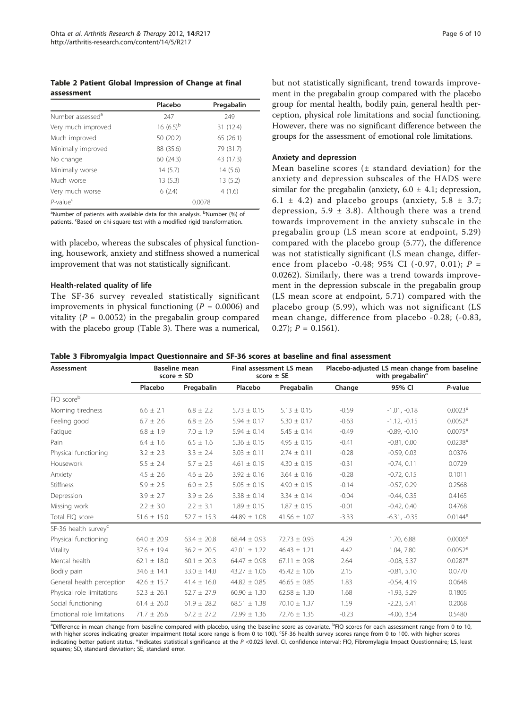<span id="page-5-0"></span>Table 2 Patient Global Impression of Change at final assessment

|                              | Placebo        | Pregabalin |
|------------------------------|----------------|------------|
| Number assessed <sup>a</sup> | 247            | 249        |
| Very much improved           | 16 $(6.5)^{b}$ | 31 (12.4)  |
| Much improved                | 50 (20.2)      | 65(26.1)   |
| Minimally improved           | 88 (35.6)      | 79 (31.7)  |
| No change                    | 60 (24.3)      | 43 (17.3)  |
| Minimally worse              | 14(5.7)        | 14(5.6)    |
| Much worse                   | 13(5.3)        | 13(5.2)    |
| Very much worse              | 6(2.4)         | 4(1.6)     |
| $P$ -value <sup>c</sup>      |                | 0.0078     |

<sup>a</sup>Number of patients with available data for this analysis. <sup>b</sup>Number (%) of patients. <sup>c</sup>Based on chi-square test with a modified rigid transformation.

with placebo, whereas the subscales of physical functioning, housework, anxiety and stiffness showed a numerical improvement that was not statistically significant.

## Health-related quality of life

The SF-36 survey revealed statistically significant improvements in physical functioning ( $P = 0.0006$ ) and vitality ( $P = 0.0052$ ) in the pregabalin group compared with the placebo group (Table 3). There was a numerical, but not statistically significant, trend towards improvement in the pregabalin group compared with the placebo group for mental health, bodily pain, general health perception, physical role limitations and social functioning. However, there was no significant difference between the groups for the assessment of emotional role limitations.

#### Anxiety and depression

Mean baseline scores  $(±$  standard deviation) for the anxiety and depression subscales of the HADS were similar for the pregabalin (anxiety,  $6.0 \pm 4.1$ ; depression, 6.1  $\pm$  4.2) and placebo groups (anxiety, 5.8  $\pm$  3.7; depression, 5.9  $\pm$  3.8). Although there was a trend towards improvement in the anxiety subscale in the pregabalin group (LS mean score at endpoint, 5.29) compared with the placebo group (5.77), the difference was not statistically significant (LS mean change, difference from placebo -0.48; 95% CI (-0.97, 0.01);  $P =$ 0.0262). Similarly, there was a trend towards improvement in the depression subscale in the pregabalin group (LS mean score at endpoint, 5.71) compared with the placebo group (5.99), which was not significant (LS mean change, difference from placebo -0.28; (-0.83, 0.27);  $P = 0.1561$ .

| Table 3 Fibromyalgia Impact Questionnaire and SF-36 scores at baseline and final assessment |  |
|---------------------------------------------------------------------------------------------|--|
|---------------------------------------------------------------------------------------------|--|

| Assessment                       | <b>Baseline mean</b><br>score $\pm$ SD |                 | Final assessment LS mean<br>score $\pm$ SE |                  | Placebo-adjusted LS mean change from baseline<br>with pregabalin <sup>ª</sup> |                |           |
|----------------------------------|----------------------------------------|-----------------|--------------------------------------------|------------------|-------------------------------------------------------------------------------|----------------|-----------|
|                                  | Placebo                                | Pregabalin      | Placebo                                    | Pregabalin       | Change                                                                        | 95% CI         | P-value   |
| FIQ scoreb                       |                                        |                 |                                            |                  |                                                                               |                |           |
| Morning tiredness                | $6.6 \pm 2.1$                          | $6.8 \pm 2.2$   | $5.73 \pm 0.15$                            | $5.13 \pm 0.15$  | $-0.59$                                                                       | $-1.01, -0.18$ | $0.0023*$ |
| Feeling good                     | $6.7 \pm 2.6$                          | $6.8 \pm 2.6$   | $5.94 \pm 0.17$                            | $5.30 \pm 0.17$  | $-0.63$                                                                       | $-1.12, -0.15$ | $0.0052*$ |
| Fatigue                          | $6.8 \pm 1.9$                          | $7.0 \pm 1.9$   | $5.94 \pm 0.14$                            | $5.45 \pm 0.14$  | $-0.49$                                                                       | $-0.89, -0.10$ | $0.0075*$ |
| Pain                             | $6.4 \pm 1.6$                          | $6.5 \pm 1.6$   | $5.36 \pm 0.15$                            | $4.95 \pm 0.15$  | $-0.41$                                                                       | $-0.81, 0.00$  | $0.0238*$ |
| Physical functioning             | $3.2 \pm 2.3$                          | $3.3 \pm 2.4$   | $3.03 \pm 0.11$                            | $2.74 \pm 0.11$  | $-0.28$                                                                       | $-0.59, 0.03$  | 0.0376    |
| Housework                        | $5.5 \pm 2.4$                          | $5.7 \pm 2.5$   | $4.61 \pm 0.15$                            | $4.30 \pm 0.15$  | $-0.31$                                                                       | $-0.74, 0.11$  | 0.0729    |
| Anxiety                          | $4.5 \pm 2.6$                          | $4.6 \pm 2.6$   | $3.92 \pm 0.16$                            | $3.64 \pm 0.16$  | $-0.28$                                                                       | $-0.72, 0.15$  | 0.1011    |
| Stiffness                        | $5.9 \pm 2.5$                          | $6.0 \pm 2.5$   | $5.05 \pm 0.15$                            | $4.90 \pm 0.15$  | $-0.14$                                                                       | $-0.57, 0.29$  | 0.2568    |
| Depression                       | $3.9 \pm 2.7$                          | $3.9 \pm 2.6$   | $3.38 \pm 0.14$                            | $3.34 \pm 0.14$  | $-0.04$                                                                       | $-0.44, 0.35$  | 0.4165    |
| Missing work                     | $2.2 \pm 3.0$                          | $2.2 \pm 3.1$   | $1.89 \pm 0.15$                            | $1.87 \pm 0.15$  | $-0.01$                                                                       | $-0.42, 0.40$  | 0.4768    |
| Total FIQ score                  | $51.6 \pm 15.0$                        | $52.7 \pm 15.3$ | 44.89 $\pm$ 1.08                           | $41.56 \pm 1.07$ | $-3.33$                                                                       | $-6.31, -0.35$ | $0.0144*$ |
| SF-36 health survey <sup>c</sup> |                                        |                 |                                            |                  |                                                                               |                |           |
| Physical functioning             | $64.0 \pm 20.9$                        | $63.4 \pm 20.8$ | $68.44 \pm 0.93$                           | $72.73 \pm 0.93$ | 4.29                                                                          | 1.70, 6.88     | $0.0006*$ |
| Vitality                         | $37.6 \pm 19.4$                        | $36.2 \pm 20.5$ | $42.01 \pm 1.22$                           | $46.43 \pm 1.21$ | 4.42                                                                          | 1.04, 7.80     | $0.0052*$ |
| Mental health                    | $62.1 \pm 18.0$                        | $60.1 \pm 20.3$ | $64.47 \pm 0.98$                           | $67.11 \pm 0.98$ | 2.64                                                                          | $-0.08, 5.37$  | $0.0287*$ |
| Bodily pain                      | $34.6 \pm 14.1$                        | $33.0 \pm 14.0$ | $43.27 \pm 1.06$                           | $45.42 \pm 1.06$ | 2.15                                                                          | $-0.81, 5.10$  | 0.0770    |
| General health perception        | $42.6 \pm 15.7$                        | $41.4 \pm 16.0$ | $44.82 \pm 0.85$                           | $46.65 \pm 0.85$ | 1.83                                                                          | $-0.54, 4.19$  | 0.0648    |
| Physical role limitations        | $52.3 \pm 26.1$                        | $52.7 \pm 27.9$ | $60.90 \pm 1.30$                           | $62.58 \pm 1.30$ | 1.68                                                                          | $-1.93, 5.29$  | 0.1805    |
| Social functioning               | $61.4 \pm 26.0$                        | $61.9 \pm 28.2$ | $68.51 \pm 1.38$                           | $70.10 \pm 1.37$ | 1.59                                                                          | $-2.23, 5.41$  | 0.2068    |
| Emotional role limitations       | $71.7 \pm 26.6$                        | $67.2 \pm 27.2$ | $72.99 \pm 1.36$                           | $72.76 \pm 1.35$ | $-0.23$                                                                       | $-4.00, 3.54$  | 0.5480    |

<sup>a</sup>Difference in mean change from baseline compared with placebo, using the baseline score as covariate. <sup>b</sup>FIQ scores for each assessment range from 0 to 10, with higher scores indicating greater impairment (total score range is from 0 to 100). SF-36 health survey scores range from 0 to 100, with higher scores indicating better patient status. \*Indicates statistical significance at the P <0.025 level. CI, confidence interval; FIQ, Fibromylagia Impact Questionnaire; LS, least squares; SD, standard deviation; SE, standard error.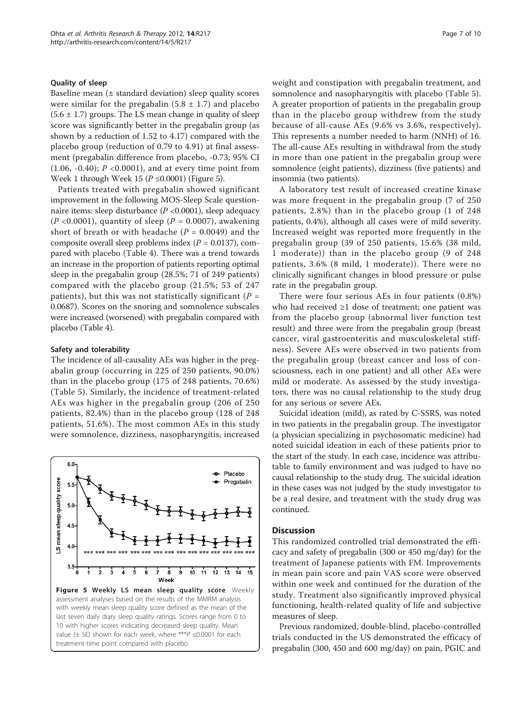### Quality of sleep

Baseline mean  $(±$  standard deviation) sleep quality scores were similar for the pregabalin  $(5.8 \pm 1.7)$  and placebo  $(5.6 \pm 1.7)$  groups. The LS mean change in quality of sleep score was significantly better in the pregabalin group (as shown by a reduction of 1.52 to 4.17) compared with the placebo group (reduction of 0.79 to 4.91) at final assessment (pregabalin difference from placebo, -0.73; 95% CI (1.06, -0.40);  $P \le 0.0001$ ), and at every time point from Week 1 through Week 15 ( $P \le 0.0001$ ) (Figure 5).

Patients treated with pregabalin showed significant improvement in the following MOS-Sleep Scale questionnaire items: sleep disturbance (P <0.0001), sleep adequacy  $(P<0.0001)$ , quantity of sleep  $(P = 0.0007)$ , awakening short of breath or with headache ( $P = 0.0049$ ) and the composite overall sleep problems index  $(P = 0.0137)$ , compared with placebo (Table [4](#page-7-0)). There was a trend towards an increase in the proportion of patients reporting optimal sleep in the pregabalin group (28.5%; 71 of 249 patients) compared with the placebo group (21.5%; 53 of 247 patients), but this was not statistically significant ( $P =$ 0.0687). Scores on the snoring and somnolence subscales were increased (worsened) with pregabalin compared with placebo (Table [4\)](#page-7-0).

### Safety and tolerability

The incidence of all-causality AEs was higher in the pregabalin group (occurring in 225 of 250 patients, 90.0%) than in the placebo group (175 of 248 patients, 70.6%) (Table [5](#page-7-0)). Similarly, the incidence of treatment-related AEs was higher in the pregabalin group (206 of 250 patients, 82.4%) than in the placebo group (128 of 248 patients, 51.6%). The most common AEs in this study were somnolence, dizziness, nasopharyngitis, increased



weight and constipation with pregabalin treatment, and somnolence and nasopharyngitis with placebo (Table [5](#page-7-0)). A greater proportion of patients in the pregabalin group than in the placebo group withdrew from the study because of all-cause AEs (9.6% vs 3.6%, respectively). This represents a number needed to harm (NNH) of 16. The all-cause AEs resulting in withdrawal from the study in more than one patient in the pregabalin group were somnolence (eight patients), dizziness (five patients) and insomnia (two patients).

A laboratory test result of increased creatine kinase was more frequent in the pregabalin group (7 of 250 patients, 2.8%) than in the placebo group (1 of 248 patients, 0.4%), although all cases were of mild severity. Increased weight was reported more frequently in the pregabalin group (39 of 250 patients, 15.6% (38 mild, 1 moderate)) than in the placebo group (9 of 248 patients, 3.6% (8 mild, 1 moderate)). There were no clinically significant changes in blood pressure or pulse rate in the pregabalin group.

There were four serious AEs in four patients (0.8%) who had received ≥1 dose of treatment; one patient was from the placebo group (abnormal liver function test result) and three were from the pregabalin group (breast cancer, viral gastroenteritis and musculoskeletal stiffness). Severe AEs were observed in two patients from the pregabalin group (breast cancer and loss of consciousness, each in one patient) and all other AEs were mild or moderate. As assessed by the study investigators, there was no causal relationship to the study drug for any serious or severe AEs.

Suicidal ideation (mild), as rated by C-SSRS, was noted in two patients in the pregabalin group. The investigator (a physician specializing in psychosomatic medicine) had noted suicidal ideation in each of these patients prior to the start of the study. In each case, incidence was attributable to family environment and was judged to have no causal relationship to the study drug. The suicidal ideation in these cases was not judged by the study investigator to be a real desire, and treatment with the study drug was continued.

# **Discussion**

This randomized controlled trial demonstrated the efficacy and safety of pregabalin (300 or 450 mg/day) for the treatment of Japanese patients with FM. Improvements in mean pain score and pain VAS score were observed within one week and continued for the duration of the study. Treatment also significantly improved physical functioning, health-related quality of life and subjective measures of sleep.

Previous randomized, double-blind, placebo-controlled trials conducted in the US demonstrated the efficacy of pregabalin (300, 450 and 600 mg/day) on pain, PGIC and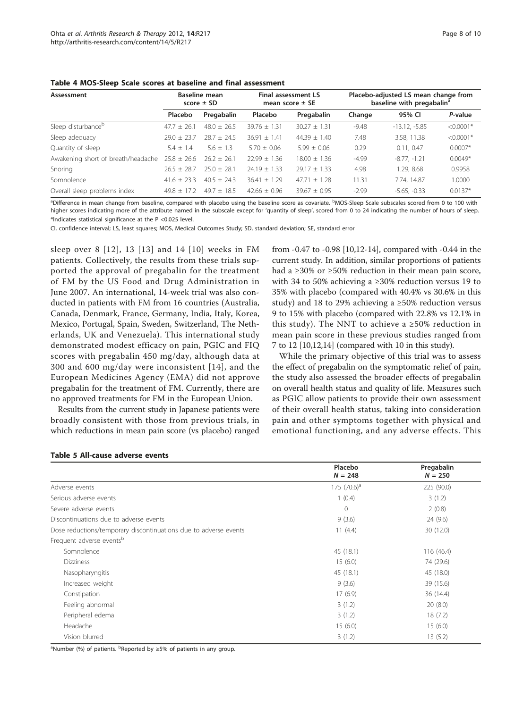<span id="page-7-0"></span>

| Assessment                         | Baseline mean<br>score $\pm$ SD |                 | Final assessment LS<br>mean score $\pm$ SE |                  | Placebo-adjusted LS mean change from<br>baseline with pregabalin <sup>a</sup> |                 |             |
|------------------------------------|---------------------------------|-----------------|--------------------------------------------|------------------|-------------------------------------------------------------------------------|-----------------|-------------|
|                                    | Placebo                         | Pregabalin      | Placebo                                    | Pregabalin       | Change                                                                        | 95% CI          | P-value     |
| Sleep disturbance <sup>b</sup>     | $47.7 + 26.1$                   | $48.0 + 26.5$   | $39.76 + 1.31$                             | $30.27 + 1.31$   | $-9.48$                                                                       | $-13.12, -5.85$ | $< 0.0001*$ |
| Sleep adequacy                     | $79.0 + 73.7$                   | $78.7 + 74.5$   | $36.91 + 1.41$                             | $44.39 \pm 1.40$ | 7.48                                                                          | 3.58, 11.38     | $< 0.0001*$ |
| Quantity of sleep                  | $5.4 \pm 1.4$                   | $5.6 + 1.3$     | $5.70 + 0.06$                              | $5.99 + 0.06$    | 0.29                                                                          | 0.11.0.47       | $0.0007*$   |
| Awakening short of breath/headache | $25.8 + 26.6$                   | $26.2 + 26.1$   | $22.99 + 1.36$                             | $18.00 + 1.36$   | $-4.99$                                                                       | $-8.77, -1.21$  | $0.0049*$   |
| Snoring                            | $26.5 + 28.7$                   | $25.0 + 28.1$   | $24.19 + 1.33$                             | $29.17 + 1.33$   | 4.98                                                                          | 1.29, 8.68      | 0.9958      |
| Somnolence                         | $41.6 + 23.3$                   | $40.5 \pm 24.3$ | $36.41 + 1.29$                             | $47.71 + 1.28$   | 11.31                                                                         | 7.74, 14.87     | 1.0000      |
| Overall sleep problems index       | $49.8 + 17.2$                   | $49.7 + 18.5$   | $42.66 + 0.96$                             | $39.67 + 0.95$   | $-2.99$                                                                       | $-5.65, -0.33$  | $0.0137*$   |

<sup>a</sup>Difference in mean change from baseline, compared with placebo using the baseline score as covariate. <sup>b</sup>MOS-Sleep Scale subscales scored from 0 to 100 with higher scores indicating more of the attribute named in the subscale except for 'quantity of sleep', scored from 0 to 24 indicating the number of hours of sleep. \*Indicates statistical significance at the P <0.025 level.

CI, confidence interval; LS, least squares; MOS, Medical Outcomes Study; SD, standard deviation; SE, standard error

sleep over 8 [[12](#page-9-0)], 13 [[13\]](#page-9-0) and 14 [[10](#page-9-0)] weeks in FM patients. Collectively, the results from these trials supported the approval of pregabalin for the treatment of FM by the US Food and Drug Administration in June 2007. An international, 14-week trial was also conducted in patients with FM from 16 countries (Australia, Canada, Denmark, France, Germany, India, Italy, Korea, Mexico, Portugal, Spain, Sweden, Switzerland, The Netherlands, UK and Venezuela). This international study demonstrated modest efficacy on pain, PGIC and FIQ scores with pregabalin 450 mg/day, although data at 300 and 600 mg/day were inconsistent [[14\]](#page-9-0), and the European Medicines Agency (EMA) did not approve pregabalin for the treatment of FM. Currently, there are no approved treatments for FM in the European Union.

Results from the current study in Japanese patients were broadly consistent with those from previous trials, in which reductions in mean pain score (vs placebo) ranged from -0.47 to -0.98 [[10,12](#page-9-0)-[14](#page-9-0)], compared with -0.44 in the current study. In addition, similar proportions of patients had a ≥30% or ≥50% reduction in their mean pain score, with 34 to 50% achieving a ≥30% reduction versus 19 to 35% with placebo (compared with 40.4% vs 30.6% in this study) and 18 to 29% achieving a  $\geq$ 50% reduction versus 9 to 15% with placebo (compared with 22.8% vs 12.1% in this study). The NNT to achieve a  $\geq$ 50% reduction in mean pain score in these previous studies ranged from 7 to 12 [\[10,12,14](#page-9-0)] (compared with 10 in this study).

While the primary objective of this trial was to assess the effect of pregabalin on the symptomatic relief of pain, the study also assessed the broader effects of pregabalin on overall health status and quality of life. Measures such as PGIC allow patients to provide their own assessment of their overall health status, taking into consideration pain and other symptoms together with physical and emotional functioning, and any adverse effects. This

|                                                                  | Placebo        | Pregabalin |
|------------------------------------------------------------------|----------------|------------|
|                                                                  | $N = 248$      | $N = 250$  |
| Adverse events                                                   | 175 $(70.6)^a$ | 225 (90.0) |
| Serious adverse events                                           | 1(0.4)         | 3(1.2)     |
| Severe adverse events                                            | $\Omega$       | 2(0.8)     |
| Discontinuations due to adverse events                           | 9(3.6)         | 24 (9.6)   |
| Dose reductions/temporary discontinuations due to adverse events | 11(4.4)        | 30 (12.0)  |
| Frequent adverse eventsb                                         |                |            |
| Somnolence                                                       | 45 (18.1)      | 116(46.4)  |
| <b>Dizziness</b>                                                 | 15(6.0)        | 74 (29.6)  |
| Nasopharyngitis                                                  | 45 (18.1)      | 45 (18.0)  |
| Increased weight                                                 | 9(3.6)         | 39 (15.6)  |
| Constipation                                                     | 17(6.9)        | 36 (14.4)  |
| Feeling abnormal                                                 | 3(1.2)         | 20(8.0)    |
| Peripheral edema                                                 | 3(1.2)         | 18(7.2)    |
| Headache                                                         | 15(6.0)        | 15(6.0)    |
| Vision blurred                                                   | 3(1.2)         | 13 (5.2)   |

Table 5 All-cause adverse events

<sup>a</sup>Number (%) of patients. <sup>b</sup>Reported by ≥5% of patients in any group.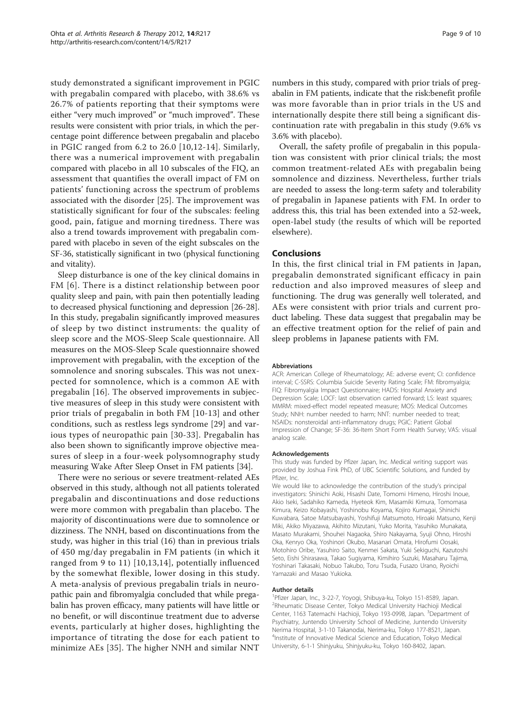study demonstrated a significant improvement in PGIC with pregabalin compared with placebo, with 38.6% vs 26.7% of patients reporting that their symptoms were either "very much improved" or "much improved". These results were consistent with prior trials, in which the percentage point difference between pregabalin and placebo in PGIC ranged from 6.2 to 26.0 [[10](#page-9-0),[12-14](#page-9-0)]. Similarly, there was a numerical improvement with pregabalin compared with placebo in all 10 subscales of the FIQ, an assessment that quantifies the overall impact of FM on patients' functioning across the spectrum of problems associated with the disorder [[25](#page-9-0)]. The improvement was statistically significant for four of the subscales: feeling good, pain, fatigue and morning tiredness. There was also a trend towards improvement with pregabalin compared with placebo in seven of the eight subscales on the SF-36, statistically significant in two (physical functioning and vitality).

Sleep disturbance is one of the key clinical domains in FM [[6](#page-9-0)]. There is a distinct relationship between poor quality sleep and pain, with pain then potentially leading to decreased physical functioning and depression [\[26-28](#page-9-0)]. In this study, pregabalin significantly improved measures of sleep by two distinct instruments: the quality of sleep score and the MOS-Sleep Scale questionnaire. All measures on the MOS-Sleep Scale questionnaire showed improvement with pregabalin, with the exception of the somnolence and snoring subscales. This was not unexpected for somnolence, which is a common AE with pregabalin [[16](#page-9-0)]. The observed improvements in subjective measures of sleep in this study were consistent with prior trials of pregabalin in both FM [[10](#page-9-0)-[13](#page-9-0)] and other conditions, such as restless legs syndrome [\[29](#page-9-0)] and various types of neuropathic pain [[30-33](#page-9-0)]. Pregabalin has also been shown to significantly improve objective measures of sleep in a four-week polysomnography study measuring Wake After Sleep Onset in FM patients [\[34\]](#page-9-0).

There were no serious or severe treatment-related AEs observed in this study, although not all patients tolerated pregabalin and discontinuations and dose reductions were more common with pregabalin than placebo. The majority of discontinuations were due to somnolence or dizziness. The NNH, based on discontinuations from the study, was higher in this trial (16) than in previous trials of 450 mg/day pregabalin in FM patients (in which it ranged from 9 to 11) [[10,13,14](#page-9-0)], potentially influenced by the somewhat flexible, lower dosing in this study. A meta-analysis of previous pregabalin trials in neuropathic pain and fibromyalgia concluded that while pregabalin has proven efficacy, many patients will have little or no benefit, or will discontinue treatment due to adverse events, particularly at higher doses, highlighting the importance of titrating the dose for each patient to minimize AEs [[35\]](#page-9-0). The higher NNH and similar NNT

numbers in this study, compared with prior trials of pregabalin in FM patients, indicate that the risk:benefit profile was more favorable than in prior trials in the US and internationally despite there still being a significant discontinuation rate with pregabalin in this study (9.6% vs 3.6% with placebo).

Overall, the safety profile of pregabalin in this population was consistent with prior clinical trials; the most common treatment-related AEs with pregabalin being somnolence and dizziness. Nevertheless, further trials are needed to assess the long-term safety and tolerability of pregabalin in Japanese patients with FM. In order to address this, this trial has been extended into a 52-week, open-label study (the results of which will be reported elsewhere).

### Conclusions

In this, the first clinical trial in FM patients in Japan, pregabalin demonstrated significant efficacy in pain reduction and also improved measures of sleep and functioning. The drug was generally well tolerated, and AEs were consistent with prior trials and current product labeling. These data suggest that pregabalin may be an effective treatment option for the relief of pain and sleep problems in Japanese patients with FM.

#### Abbreviations

ACR: American College of Rheumatology; AE: adverse event; CI: confidence interval; C-SSRS: Columbia Suicide Severity Rating Scale; FM: fibromyalgia; FIQ: Fibromyalgia Impact Questionnaire; HADS: Hospital Anxiety and Depression Scale; LOCF: last observation carried forward; LS: least squares; MMRM: mixed-effect model repeated measure; MOS: Medical Outcomes Study; NNH: number needed to harm; NNT: number needed to treat; NSAIDs: nonsteroidal anti-inflammatory drugs; PGIC: Patient Global Impression of Change; SF-36: 36-Item Short Form Health Survey; VAS: visual analog scale.

#### Acknowledgements

This study was funded by Pfizer Japan, Inc. Medical writing support was provided by Joshua Fink PhD, of UBC Scientific Solutions, and funded by Pfizer, Inc.

We would like to acknowledge the contribution of the study's principal investigators: Shinichi Aoki, Hisashi Date, Tomomi Himeno, Hiroshi Inoue, Akio Iseki, Sadahiko Kameda, Hyeteok Kim, Masamiki Kimura, Tomomasa Kimura, Keizo Kobayashi, Yoshinobu Koyama, Kojiro Kumagai, Shinichi Kuwabara, Satoe Matsubayashi, Yoshifuji Matsumoto, Hiroaki Matsuno, Kenji Miki, Akiko Miyazawa, Akihito Mizutani, Yuko Morita, Yasuhiko Munakata, Masato Murakami, Shouhei Nagaoka, Shiro Nakayama, Syuji Ohno, Hiroshi Oka, Kenryo Oka, Yoshinori Okubo, Masanari Omata, Hirofumi Oosaki, Motohiro Oribe, Yasuhiro Saito, Kenmei Sakata, Yuki Sekiguchi, Kazutoshi Seto, Eishi Shirasawa, Takao Sugiyama, Kimihiro Suzuki, Masaharu Tajima, Yoshinari Takasaki, Nobuo Takubo, Toru Tsuda, Fusazo Urano, Ryoichi Yamazaki and Masao Yukioka.

#### Author details

1 Pfizer Japan, Inc., 3-22-7, Yoyogi, Shibuya-ku, Tokyo 151-8589, Japan. 2 Rheumatic Disease Center, Tokyo Medical University Hachioji Medical Center, 1163 Tatemachi Hachioji, Tokyo 193-0998, Japan. <sup>3</sup>Department of Psychiatry, Juntendo University School of Medicine, Juntendo University Nerima Hospital, 3-1-10 Takanodai, Nerima-ku, Tokyo 177-8521, Japan. 4 Institute of Innovative Medical Science and Education, Tokyo Medical University, 6-1-1 Shinjyuku, Shinjyuku-ku, Tokyo 160-8402, Japan.